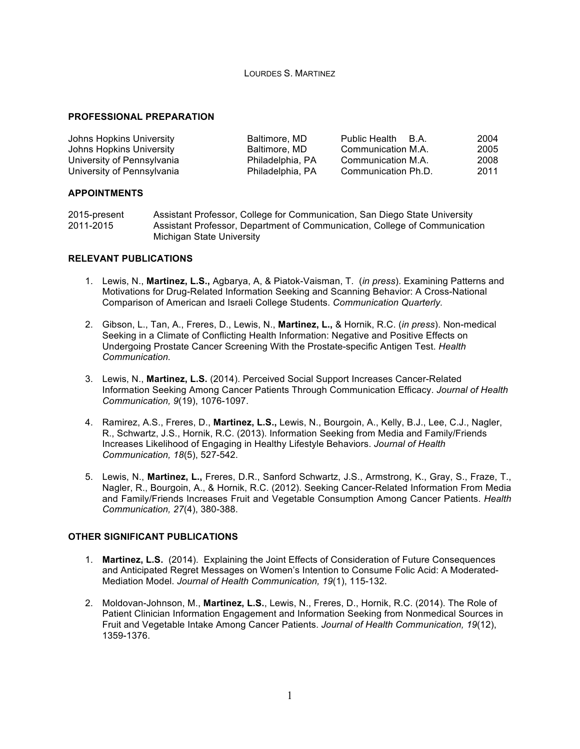### LOURDES S. MARTINEZ

### **PROFESSIONAL PREPARATION**

| Johns Hopkins University   | Baltimore, MD    | <b>Public Health</b><br>HA. | 2004 |
|----------------------------|------------------|-----------------------------|------|
| Johns Hopkins University   | Baltimore, MD    | Communication M.A.          | 2005 |
| University of Pennsylvania | Philadelphia, PA | Communication M.A.          | 2008 |
| University of Pennsylvania | Philadelphia, PA | Communication Ph.D.         | 2011 |

#### **APPOINTMENTS**

| 2015-present | Assistant Professor, College for Communication, San Diego State University |
|--------------|----------------------------------------------------------------------------|
| 2011-2015    | Assistant Professor, Department of Communication, College of Communication |
|              | Michigan State University                                                  |

#### **RELEVANT PUBLICATIONS**

- 1. Lewis, N., **Martinez, L.S.,** Agbarya, A, & Piatok-Vaisman, T. (*in press*). Examining Patterns and Motivations for Drug-Related Information Seeking and Scanning Behavior: A Cross-National Comparison of American and Israeli College Students. *Communication Quarterly.*
- 2. Gibson, L., Tan, A., Freres, D., Lewis, N., **Martinez, L.,** & Hornik, R.C. (*in press*). Non-medical Seeking in a Climate of Conflicting Health Information: Negative and Positive Effects on Undergoing Prostate Cancer Screening With the Prostate-specific Antigen Test. *Health Communication.*
- 3. Lewis, N., **Martinez, L.S.** (2014). Perceived Social Support Increases Cancer-Related Information Seeking Among Cancer Patients Through Communication Efficacy. *Journal of Health Communication, 9*(19), 1076-1097.
- 4. Ramirez, A.S., Freres, D., **Martinez, L.S.,** Lewis, N., Bourgoin, A., Kelly, B.J., Lee, C.J., Nagler, R., Schwartz, J.S., Hornik, R.C. (2013). Information Seeking from Media and Family/Friends Increases Likelihood of Engaging in Healthy Lifestyle Behaviors. *Journal of Health Communication, 18*(5), 527-542.
- 5. Lewis, N., **Martinez, L.,** Freres, D.R., Sanford Schwartz, J.S., Armstrong, K., Gray, S., Fraze, T., Nagler, R., Bourgoin, A., & Hornik, R.C. (2012). Seeking Cancer-Related Information From Media and Family/Friends Increases Fruit and Vegetable Consumption Among Cancer Patients. *Health Communication, 27*(4), 380-388.

## **OTHER SIGNIFICANT PUBLICATIONS**

- 1. **Martinez, L.S.** (2014). Explaining the Joint Effects of Consideration of Future Consequences and Anticipated Regret Messages on Women's Intention to Consume Folic Acid: A Moderated-Mediation Model. *Journal of Health Communication, 19*(1), 115-132.
- 2. Moldovan-Johnson, M., **Martinez, L.S.**, Lewis, N., Freres, D., Hornik, R.C. (2014). The Role of Patient Clinician Information Engagement and Information Seeking from Nonmedical Sources in Fruit and Vegetable Intake Among Cancer Patients. *Journal of Health Communication, 19*(12), 1359-1376.